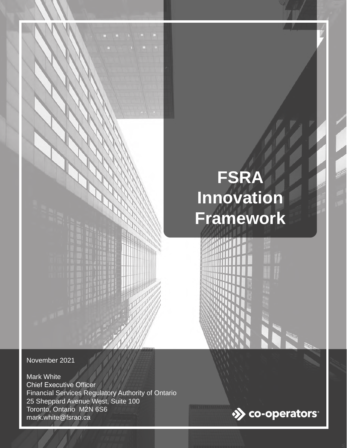# **FSRA Innovation Framework**

November 2021

Mark White Chief Executive Officer Financial Services Regulatory Authority of Ontario 25 Sheppard Avenue West, Suite 100 Toronto, Ontario M2N 6S6 mark.white@fsrao.ca



n 7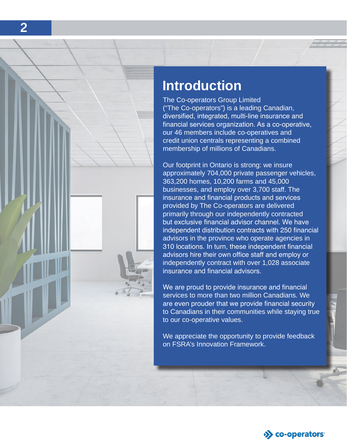

## **Introduction**

The Co-operators Group Limited ("The Co-operators") is a leading Canadian, diversified, integrated, multi-line insurance and financial services organization. As a co-operative, our 46 members include co-operatives and credit union centrals representing a combined membership of millions of Canadians.

Our footprint in Ontario is strong: we insure approximately 704,000 private passenger vehicles, 363,200 homes, 10,200 farms and 45,000 businesses, and employ over 3,700 staff. The insurance and financial products and services provided by The Co-operators are delivered primarily through our independently contracted but exclusive financial advisor channel. We have independent distribution contracts with 250 financial advisors in the province who operate agencies in 310 locations. In turn, these independent financial advisors hire their own office staff and employ or independently contract with over 1,028 associate insurance and financial advisors.

We are proud to provide insurance and financial services to more than two million Canadians. We are even prouder that we provide financial security to Canadians in their communities while staying true to our co-operative values.

We appreciate the opportunity to provide feedback on FSRA's Innovation Framework.



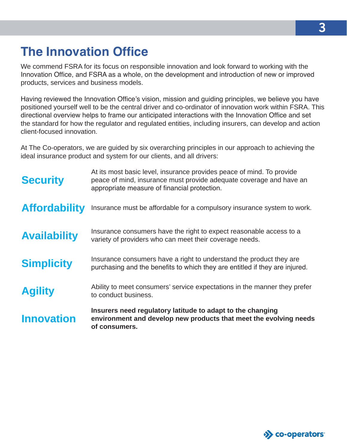# **The Innovation Office**

We commend FSRA for its focus on responsible innovation and look forward to working with the Innovation Office, and FSRA as a whole, on the development and introduction of new or improved products, services and business models.

Having reviewed the Innovation Office's vision, mission and guiding principles, we believe you have positioned yourself well to be the central driver and co-ordinator of innovation work within FSRA. This directional overview helps to frame our anticipated interactions with the Innovation Office and set the standard for how the regulator and regulated entities, including insurers, can develop and action client-focused innovation.

At The Co-operators, we are guided by six overarching principles in our approach to achieving the ideal insurance product and system for our clients, and all drivers:

| <b>Innovation</b>    | Insurers need regulatory latitude to adapt to the changing<br>environment and develop new products that meet the evolving needs<br>of consumers.                                             |
|----------------------|----------------------------------------------------------------------------------------------------------------------------------------------------------------------------------------------|
| <b>Agility</b>       | Ability to meet consumers' service expectations in the manner they prefer<br>to conduct business.                                                                                            |
| <b>Simplicity</b>    | Insurance consumers have a right to understand the product they are<br>purchasing and the benefits to which they are entitled if they are injured.                                           |
| <b>Availability</b>  | Insurance consumers have the right to expect reasonable access to a<br>variety of providers who can meet their coverage needs.                                                               |
| <b>Affordability</b> | Insurance must be affordable for a compulsory insurance system to work.                                                                                                                      |
| <b>Security</b>      | At its most basic level, insurance provides peace of mind. To provide<br>peace of mind, insurance must provide adequate coverage and have an<br>appropriate measure of financial protection. |

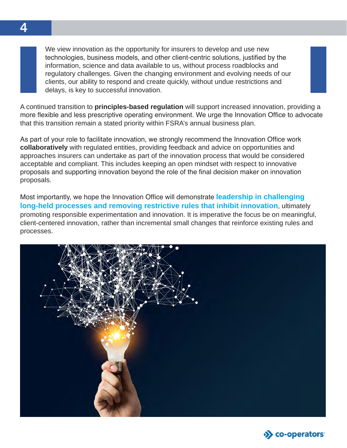We view innovation as the opportunity for insurers to develop and use new technologies, business models, and other client-centric solutions, justified by the information, science and data available to us, without process roadblocks and regulatory challenges. Given the changing environment and evolving needs of our clients, our ability to respond and create quickly, without undue restrictions and delays, is key to successful innovation.

A continued transition to **principles-based regulation** will support increased innovation, providing a more flexible and less prescriptive operating environment. We urge the Innovation Office to advocate that this transition remain a stated priority within FSRA's annual business plan.

As part of your role to facilitate innovation, we strongly recommend the Innovation Office work **collaboratively** with regulated entities, providing feedback and advice on opportunities and approaches insurers can undertake as part of the innovation process that would be considered acceptable and compliant. This includes keeping an open mindset with respect to innovative proposals and supporting innovation beyond the role of the final decision maker on innovation proposals.

Most importantly, we hope the Innovation Office will demonstrate **leadership in challenging long-held processes and removing restrictive rules that inhibit innovation**, ultimately promoting responsible experimentation and innovation. It is imperative the focus be on meaningful, client-centered innovation, rather than incremental small changes that reinforce existing rules and processes.



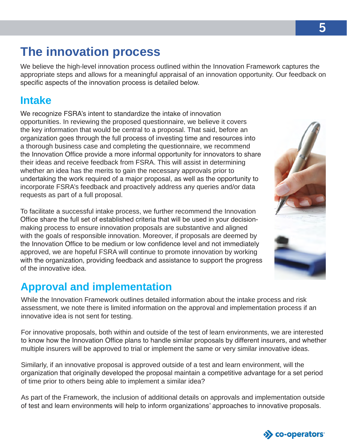# **The innovation process**

We believe the high-level innovation process outlined within the Innovation Framework captures the appropriate steps and allows for a meaningful appraisal of an innovation opportunity. Our feedback on specific aspects of the innovation process is detailed below.

### **Intake**

We recognize FSRA's intent to standardize the intake of innovation opportunities. In reviewing the proposed questionnaire, we believe it covers the key information that would be central to a proposal. That said, before an organization goes through the full process of investing time and resources into a thorough business case and completing the questionnaire, we recommend the Innovation Office provide a more informal opportunity for innovators to share their ideas and receive feedback from FSRA. This will assist in determining whether an idea has the merits to gain the necessary approvals prior to undertaking the work required of a major proposal, as well as the opportunity to incorporate FSRA's feedback and proactively address any queries and/or data requests as part of a full proposal.

To facilitate a successful intake process, we further recommend the Innovation Office share the full set of established criteria that will be used in your decisionmaking process to ensure innovation proposals are substantive and aligned with the goals of responsible innovation. Moreover, if proposals are deemed by the Innovation Office to be medium or low confidence level and not immediately approved, we are hopeful FSRA will continue to promote innovation by working with the organization, providing feedback and assistance to support the progress of the innovative idea.

## **Approval and implementation**

While the Innovation Framework outlines detailed information about the intake process and risk assessment, we note there is limited information on the approval and implementation process if an innovative idea is not sent for testing.

For innovative proposals, both within and outside of the test of learn environments, we are interested to know how the Innovation Office plans to handle similar proposals by different insurers, and whether multiple insurers will be approved to trial or implement the same or very similar innovative ideas.

Similarly, if an innovative proposal is approved outside of a test and learn environment, will the organization that originally developed the proposal maintain a competitive advantage for a set period of time prior to others being able to implement a similar idea?

As part of the Framework, the inclusion of additional details on approvals and implementation outside of test and learn environments will help to inform organizations' approaches to innovative proposals.





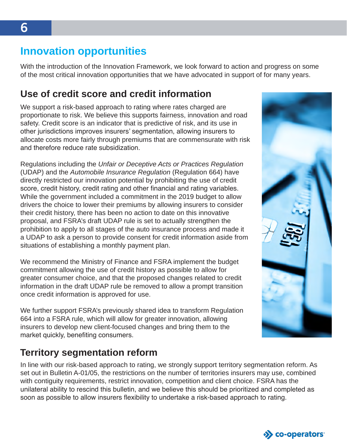#### **Innovation opportunities**

With the introduction of the Innovation Framework, we look forward to action and progress on some of the most critical innovation opportunities that we have advocated in support of for many years.

#### **Use of credit score and credit information**

We support a risk-based approach to rating where rates charged are proportionate to risk. We believe this supports fairness, innovation and road safety. Credit score is an indicator that is predictive of risk, and its use in other jurisdictions improves insurers' segmentation, allowing insurers to allocate costs more fairly through premiums that are commensurate with risk and therefore reduce rate subsidization.

Regulations including the *Unfair or Deceptive Acts or Practices Regulation*  (UDAP) and the *Automobile Insurance Regulation* (Regulation 664) have directly restricted our innovation potential by prohibiting the use of credit score, credit history, credit rating and other financial and rating variables. While the government included a commitment in the 2019 budget to allow drivers the choice to lower their premiums by allowing insurers to consider their credit history, there has been no action to date on this innovative proposal, and FSRA's draft UDAP rule is set to actually strengthen the prohibition to apply to all stages of the auto insurance process and made it a UDAP to ask a person to provide consent for credit information aside from situations of establishing a monthly payment plan.

We recommend the Ministry of Finance and FSRA implement the budget commitment allowing the use of credit history as possible to allow for greater consumer choice, and that the proposed changes related to credit information in the draft UDAP rule be removed to allow a prompt transition once credit information is approved for use.

We further support FSRA's previously shared idea to transform Regulation 664 into a FSRA rule, which will allow for greater innovation, allowing insurers to develop new client-focused changes and bring them to the market quickly, benefiting consumers.

#### **Territory segmentation reform**

In line with our risk-based approach to rating, we strongly support territory segmentation reform. As set out in Bulletin A-01/05, the restrictions on the number of territories insurers may use, combined with contiguity requirements, restrict innovation, competition and client choice. FSRA has the unilateral ability to rescind this bulletin, and we believe this should be prioritized and completed as soon as possible to allow insurers flexibility to undertake a risk-based approach to rating.



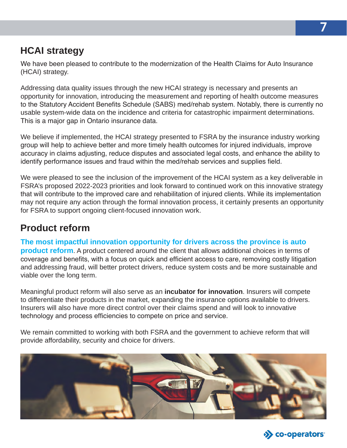#### **HCAI strategy**

We have been pleased to contribute to the modernization of the Health Claims for Auto Insurance (HCAI) strategy.

Addressing data quality issues through the new HCAI strategy is necessary and presents an opportunity for innovation, introducing the measurement and reporting of health outcome measures to the Statutory Accident Benefits Schedule (SABS) med/rehab system. Notably, there is currently no usable system-wide data on the incidence and criteria for catastrophic impairment determinations. This is a major gap in Ontario insurance data.

We believe if implemented, the HCAI strategy presented to FSRA by the insurance industry working group will help to achieve better and more timely health outcomes for injured individuals, improve accuracy in claims adjusting, reduce disputes and associated legal costs, and enhance the ability to identify performance issues and fraud within the med/rehab services and supplies field.

We were pleased to see the inclusion of the improvement of the HCAI system as a key deliverable in FSRA's proposed 2022-2023 priorities and look forward to continued work on this innovative strategy that will contribute to the improved care and rehabilitation of injured clients. While its implementation may not require any action through the formal innovation process, it certainly presents an opportunity for FSRA to support ongoing client-focused innovation work.

#### **Product reform**

**The most impactful innovation opportunity for drivers across the province is auto product reform**. A product centered around the client that allows additional choices in terms of coverage and benefits, with a focus on quick and efficient access to care, removing costly litigation and addressing fraud, will better protect drivers, reduce system costs and be more sustainable and viable over the long term.

Meaningful product reform will also serve as an **incubator for innovation**. Insurers will compete to differentiate their products in the market, expanding the insurance options available to drivers. Insurers will also have more direct control over their claims spend and will look to innovative technology and process efficiencies to compete on price and service.

We remain committed to working with both FSRA and the government to achieve reform that will provide affordability, security and choice for drivers.



**7**

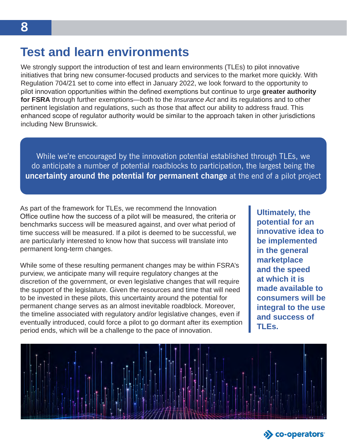## **Test and learn environments**

We strongly support the introduction of test and learn environments (TLEs) to pilot innovative initiatives that bring new consumer-focused products and services to the market more quickly. With Regulation 704/21 set to come into effect in January 2022, we look forward to the opportunity to pilot innovation opportunities within the defined exemptions but continue to urge **greater authority for FSRA** through further exemptions—both to the *Insurance Act* and its regulations and to other pertinent legislation and regulations, such as those that affect our ability to address fraud. This enhanced scope of regulator authority would be similar to the approach taken in other jurisdictions including New Brunswick.

While we're encouraged by the innovation potential established through TLEs, we do anticipate a number of potential roadblocks to participation, the largest being the **uncertainty around the potential for permanent change** at the end of a pilot project

As part of the framework for TLEs, we recommend the Innovation Office outline how the success of a pilot will be measured, the criteria or benchmarks success will be measured against, and over what period of time success will be measured. If a pilot is deemed to be successful, we are particularly interested to know how that success will translate into permanent long-term changes.

While some of these resulting permanent changes may be within FSRA's purview, we anticipate many will require regulatory changes at the discretion of the government, or even legislative changes that will require the support of the legislature. Given the resources and time that will need to be invested in these pilots, this uncertainty around the potential for permanent change serves as an almost inevitable roadblock. Moreover, the timeline associated with regulatory and/or legislative changes, even if eventually introduced, could force a pilot to go dormant after its exemption period ends, which will be a challenge to the pace of innovation.

**Ultimately, the potential for an innovative idea to be implemented in the general marketplace and the speed at which it is made available to consumers will be integral to the use and success of TLEs.**



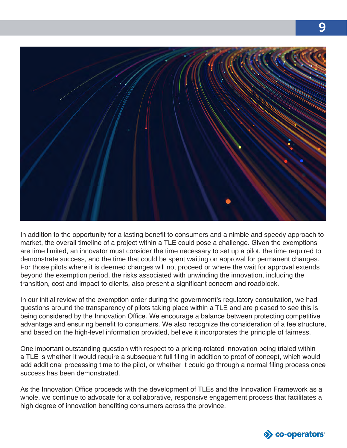

In addition to the opportunity for a lasting benefit to consumers and a nimble and speedy approach to market, the overall timeline of a project within a TLE could pose a challenge. Given the exemptions are time limited, an innovator must consider the time necessary to set up a pilot, the time required to demonstrate success, and the time that could be spent waiting on approval for permanent changes. For those pilots where it is deemed changes will not proceed or where the wait for approval extends beyond the exemption period, the risks associated with unwinding the innovation, including the transition, cost and impact to clients, also present a significant concern and roadblock.

In our initial review of the exemption order during the government's regulatory consultation, we had questions around the transparency of pilots taking place within a TLE and are pleased to see this is being considered by the Innovation Office. We encourage a balance between protecting competitive advantage and ensuring benefit to consumers. We also recognize the consideration of a fee structure, and based on the high-level information provided, believe it incorporates the principle of fairness.

One important outstanding question with respect to a pricing-related innovation being trialed within a TLE is whether it would require a subsequent full filing in addition to proof of concept, which would add additional processing time to the pilot, or whether it could go through a normal filing process once success has been demonstrated.

As the Innovation Office proceeds with the development of TLEs and the Innovation Framework as a whole, we continue to advocate for a collaborative, responsive engagement process that facilitates a high degree of innovation benefiting consumers across the province.